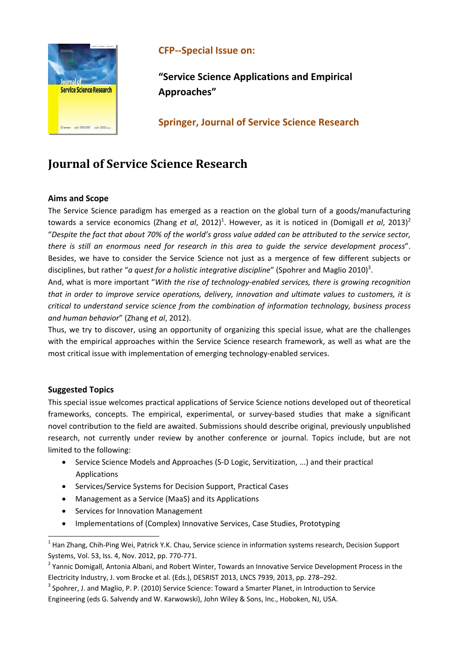

## **CFP‐‐Special Issue on:**

**"Service Science Applications and Empirical Approaches"** 

**Springer, Journal of Service Science Research**

# **Journal of Service Science Research**

## **Aims and Scope**

The Service Science paradigm has emerged as a reaction on the global turn of a goods/manufacturing towards a service economics (Zhang *et al*, 2012)<sup>1</sup>. However, as it is noticed in (Domigall *et al*, 2013)<sup>2</sup> "Despite the fact that about 70% of the world's gross value added can be attributed to the service sector, *there is still an enormous need for research in this area to guide the service development process*". Besides, we have to consider the Service Science not just as a mergence of few different subjects or disciplines, but rather "*a quest for a holistic integrative discipline*" (Spohrer and Maglio 2010)<sup>3</sup>.

And, what is more important "*With the rise of technology‐enabled services, there is growing recognition that in order to improve service operations, delivery, innovation and ultimate values to customers, it is critical to understand service science from the combination of information technology, business process and human behavior*" (Zhang *et al*, 2012).

Thus, we try to discover, using an opportunity of organizing this special issue, what are the challenges with the empirical approaches within the Service Science research framework, as well as what are the most critical issue with implementation of emerging technology-enabled services.

## **Suggested Topics**

This special issue welcomes practical applications of Service Science notions developed out of theoretical frameworks, concepts. The empirical, experimental, or survey-based studies that make a significant novel contribution to the field are awaited. Submissions should describe original, previously unpublished research, not currently under review by another conference or journal. Topics include, but are not limited to the following:

- Service Science Models and Approaches (S-D Logic, Servitization, ...) and their practical Applications
- Services/Service Systems for Decision Support, Practical Cases
- Management as a Service (MaaS) and its Applications
- Services for Innovation Management

Implementations of (Complex) Innovative Services, Case Studies, Prototyping

<sup>&</sup>lt;sup>1</sup> Han Zhang, Chih-Ping Wei, Patrick Y.K. Chau, Service science in information systems research, Decision Support Systems, Vol. 53, Iss. 4, Nov. 2012, pp. 770‐771.

<sup>&</sup>lt;sup>2</sup> Yannic Domigall, Antonia Albani, and Robert Winter, Towards an Innovative Service Development Process in the Electricity Industry, J. vom Brocke et al. (Eds.), DESRIST 2013, LNCS 7939, 2013, pp. 278–292.

<sup>&</sup>lt;sup>3</sup> Spohrer, J. and Maglio, P. P. (2010) Service Science: Toward a Smarter Planet, in Introduction to Service Engineering (eds G. Salvendy and W. Karwowski), John Wiley & Sons, Inc., Hoboken, NJ, USA.